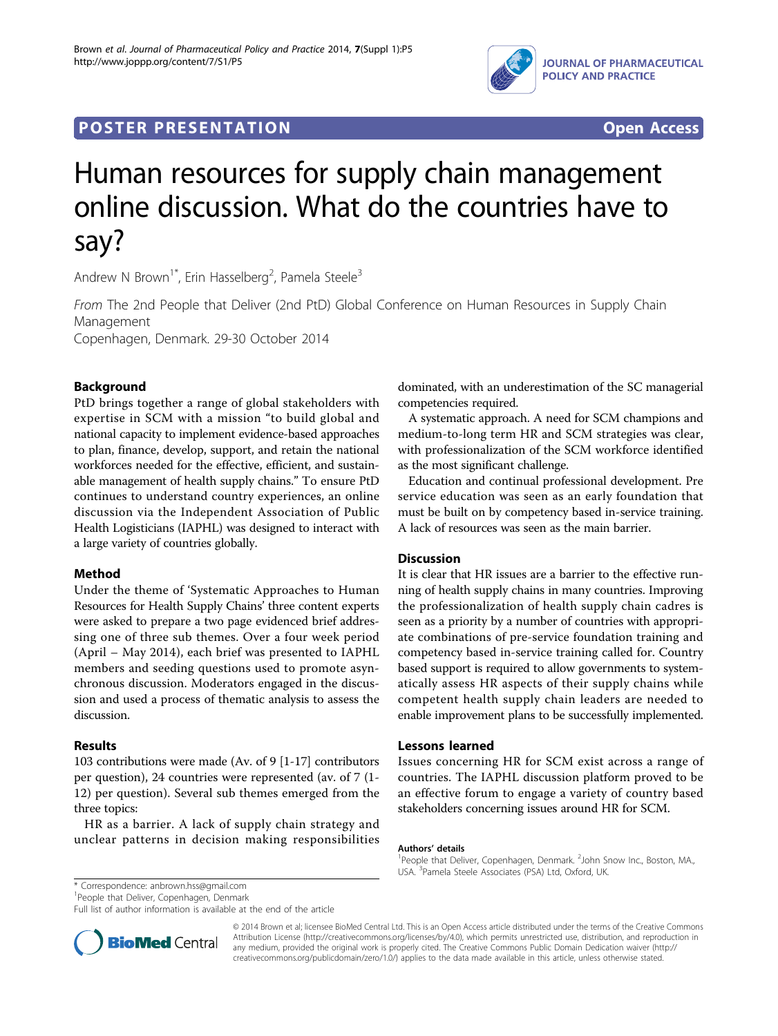

## **POSTER PRESENTATION CONSUMING ACCESS**



# Human resources for supply chain management online discussion. What do the countries have to say?

Andrew N Brown<sup>1\*</sup>, Erin Hasselberg<sup>2</sup>, Pamela Steele<sup>3</sup>

From The 2nd People that Deliver (2nd PtD) Global Conference on Human Resources in Supply Chain Management

Copenhagen, Denmark. 29-30 October 2014

### Background

PtD brings together a range of global stakeholders with expertise in SCM with a mission "to build global and national capacity to implement evidence-based approaches to plan, finance, develop, support, and retain the national workforces needed for the effective, efficient, and sustainable management of health supply chains." To ensure PtD continues to understand country experiences, an online discussion via the Independent Association of Public Health Logisticians (IAPHL) was designed to interact with a large variety of countries globally.

#### Method

Under the theme of 'Systematic Approaches to Human Resources for Health Supply Chains' three content experts were asked to prepare a two page evidenced brief addressing one of three sub themes. Over a four week period (April – May 2014), each brief was presented to IAPHL members and seeding questions used to promote asynchronous discussion. Moderators engaged in the discussion and used a process of thematic analysis to assess the discussion.

#### Results

103 contributions were made (Av. of 9 [1-17] contributors per question), 24 countries were represented (av. of 7 (1- 12) per question). Several sub themes emerged from the three topics:

HR as a barrier. A lack of supply chain strategy and unclear patterns in decision making responsibilities

dominated, with an underestimation of the SC managerial competencies required.

A systematic approach. A need for SCM champions and medium-to-long term HR and SCM strategies was clear, with professionalization of the SCM workforce identified as the most significant challenge.

Education and continual professional development. Pre service education was seen as an early foundation that must be built on by competency based in-service training. A lack of resources was seen as the main barrier.

#### **Discussion**

It is clear that HR issues are a barrier to the effective running of health supply chains in many countries. Improving the professionalization of health supply chain cadres is seen as a priority by a number of countries with appropriate combinations of pre-service foundation training and competency based in-service training called for. Country based support is required to allow governments to systematically assess HR aspects of their supply chains while competent health supply chain leaders are needed to enable improvement plans to be successfully implemented.

#### Lessons learned

Issues concerning HR for SCM exist across a range of countries. The IAPHL discussion platform proved to be an effective forum to engage a variety of country based stakeholders concerning issues around HR for SCM.

#### Authors' details <sup>1</sup>

People that Deliver, Copenhagen, Denmark. <sup>2</sup>John Snow Inc., Boston, MA. USA. <sup>3</sup>Pamela Steele Associates (PSA) Ltd, Oxford, UK.

\* Correspondence: [anbrown.hss@gmail.com](mailto:anbrown.hss@gmail.com)

1 People that Deliver, Copenhagen, Denmark

Full list of author information is available at the end of the article



© 2014 Brown et al; licensee BioMed Central Ltd. This is an Open Access article distributed under the terms of the Creative Commons Attribution License [\(http://creativecommons.org/licenses/by/4.0](http://creativecommons.org/licenses/by/4.0)), which permits unrestricted use, distribution, and reproduction in any medium, provided the original work is properly cited. The Creative Commons Public Domain Dedication waiver [\(http://](http://creativecommons.org/publicdomain/zero/1.0/) [creativecommons.org/publicdomain/zero/1.0/](http://creativecommons.org/publicdomain/zero/1.0/)) applies to the data made available in this article, unless otherwise stated.